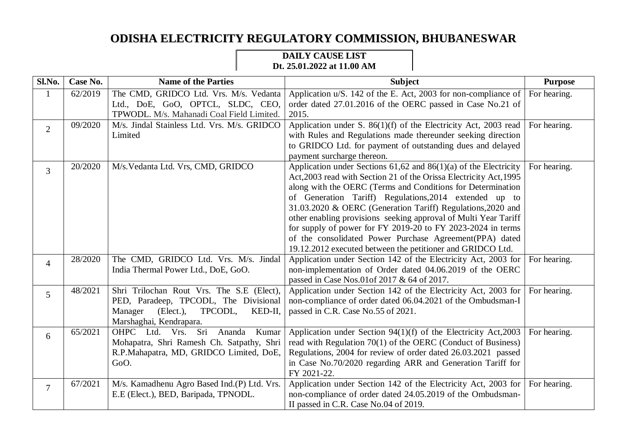## **ODISHA ELECTRICITY REGULATORY COMMISSION, BHUBANESWAR**

## **DAILY CAUSE LIST Dt. 25.01.2022 at 11.00 AM**

| Sl.No.         | Case No. | <b>Name of the Parties</b>                                                                                                                                 | <b>Subject</b>                                                                                                                                                                                                                                                                                                                                                                                                                                                                                                                                                                                | <b>Purpose</b> |
|----------------|----------|------------------------------------------------------------------------------------------------------------------------------------------------------------|-----------------------------------------------------------------------------------------------------------------------------------------------------------------------------------------------------------------------------------------------------------------------------------------------------------------------------------------------------------------------------------------------------------------------------------------------------------------------------------------------------------------------------------------------------------------------------------------------|----------------|
| $\mathbf{1}$   | 62/2019  | The CMD, GRIDCO Ltd. Vrs. M/s. Vedanta<br>Ltd., DoE, GoO, OPTCL, SLDC, CEO,                                                                                | Application u/S. 142 of the E. Act, 2003 for non-compliance of<br>order dated 27.01.2016 of the OERC passed in Case No.21 of                                                                                                                                                                                                                                                                                                                                                                                                                                                                  | For hearing.   |
|                |          | TPWODL. M/s. Mahanadi Coal Field Limited.                                                                                                                  | 2015.                                                                                                                                                                                                                                                                                                                                                                                                                                                                                                                                                                                         |                |
| $\overline{2}$ | 09/2020  | M/s. Jindal Stainless Ltd. Vrs. M/s. GRIDCO<br>Limited                                                                                                     | Application under S. 86(1)(f) of the Electricity Act, 2003 read For hearing.<br>with Rules and Regulations made thereunder seeking direction<br>to GRIDCO Ltd. for payment of outstanding dues and delayed<br>payment surcharge thereon.                                                                                                                                                                                                                                                                                                                                                      |                |
| $\overline{3}$ | 20/2020  | M/s. Vedanta Ltd. Vrs, CMD, GRIDCO                                                                                                                         | Application under Sections $61,62$ and $86(1)(a)$ of the Electricity<br>Act, 2003 read with Section 21 of the Orissa Electricity Act, 1995<br>along with the OERC (Terms and Conditions for Determination<br>of Generation Tariff) Regulations, 2014 extended up to<br>31.03.2020 & OERC (Generation Tariff) Regulations, 2020 and<br>other enabling provisions seeking approval of Multi Year Tariff<br>for supply of power for FY 2019-20 to FY 2023-2024 in terms<br>of the consolidated Power Purchase Agreement(PPA) dated<br>19.12.2012 executed between the petitioner and GRIDCO Ltd. | For hearing.   |
| $\overline{4}$ | 28/2020  | The CMD, GRIDCO Ltd. Vrs. M/s. Jindal<br>India Thermal Power Ltd., DoE, GoO.                                                                               | Application under Section 142 of the Electricity Act, 2003 for<br>non-implementation of Order dated 04.06.2019 of the OERC<br>passed in Case Nos.01 of 2017 & 64 of 2017.                                                                                                                                                                                                                                                                                                                                                                                                                     | For hearing.   |
| 5              | 48/2021  | Shri Trilochan Rout Vrs. The S.E (Elect),<br>PED, Paradeep, TPCODL, The Divisional<br>(Elect.)<br>TPCODL,<br>Manager<br>KED-II,<br>Marshaghai, Kendrapara. | Application under Section 142 of the Electricity Act, 2003 for<br>non-compliance of order dated 06.04.2021 of the Ombudsman-I<br>passed in C.R. Case No.55 of 2021.                                                                                                                                                                                                                                                                                                                                                                                                                           | For hearing.   |
| 6              | 65/2021  | OHPC Ltd. Vrs. Sri Ananda<br>Kumar<br>Mohapatra, Shri Ramesh Ch. Satpathy, Shri<br>R.P.Mahapatra, MD, GRIDCO Limited, DoE,<br>GoO.                         | Application under Section $94(1)(f)$ of the Electricity Act, 2003<br>read with Regulation 70(1) of the OERC (Conduct of Business)<br>Regulations, 2004 for review of order dated 26.03.2021 passed<br>in Case No.70/2020 regarding ARR and Generation Tariff for<br>FY 2021-22.                                                                                                                                                                                                                                                                                                               | For hearing.   |
| $\overline{7}$ | 67/2021  | M/s. Kamadhenu Agro Based Ind.(P) Ltd. Vrs.<br>E.E (Elect.), BED, Baripada, TPNODL.                                                                        | Application under Section 142 of the Electricity Act, 2003 for<br>non-compliance of order dated 24.05.2019 of the Ombudsman-<br>II passed in C.R. Case No.04 of 2019.                                                                                                                                                                                                                                                                                                                                                                                                                         | For hearing.   |